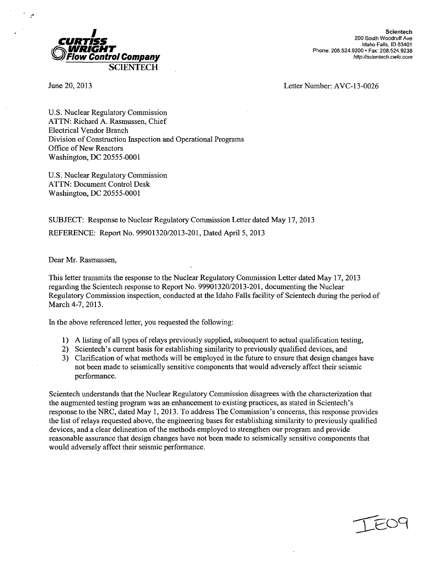

**Scientech** *WRIGHT* Phone: **208.524.9200** Fax: **208.524.9238**

,,... -**F~-)9,**

June 20, 2013 Letter Number: AVC- 13-0026

U.S. Nuclear Regulatory Commission ATTN: Richard A. Rasmussen, Chief Electrical Vendor Branch Division of Construction Inspection and Operational Programs Office of New Reactors Washington, DC 20555-0001

U.S. Nuclear Regulatory Commission ATTN: Document Control Desk Washington, DC 20555-0001

SUBJECT: Response to Nuclear Regulatory Commission Letter dated May 17, 2013 REFERENCE: Report No. 99901320/2013-201, Dated April 5, 2013

Dear Mr. Rasmussen,

This letter transmits the response to the Nuclear Regulatory Commission Letter dated May 17, 2013 regarding the Scientech response to Report No. 99901320/2013-201, documenting the Nuclear Regulatory Commission inspection, conducted at the Idaho Falls facility of Scientech during the period of March 4-7, 2013.

In the above referenced letter, you requested the following:

- 1) A listing of all types of relays previously supplied, subsequent to actual qualification testing,
- 2) Scientech's current basis for establishing similarity to previously qualified devices, and
- 3) Clarification of what methods will be employed in the future to ensure that design changes have not been made to seismically sensitive components that would adversely affect their seismic performance.

Scientech understands that the Nuclear Regulatory Commission disagrees with the characterization that the augmented testing program was an enhancement to existing practices, as stated in Scientech's response to the NRC, dated May 1, 2013. To address The Commission's concerns, this response provides the list of relays requested above, the engineering bases for establishing similarity to previously qualified devices, and a clear delineation of the methods employed to strengthen our program and provide reasonable assurance that design changes have not been made to seismically sensitive components that would adversely affect their seismic performance.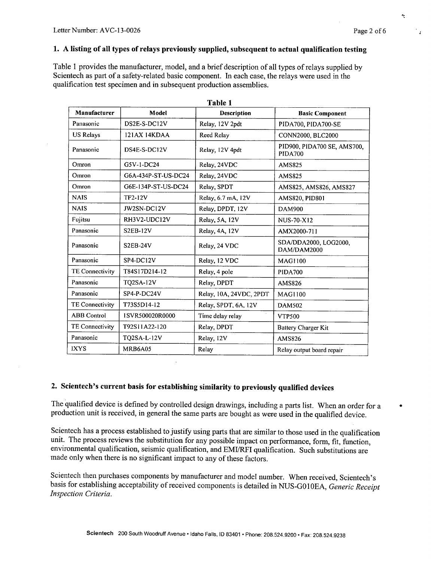#### 1. A listing of all types of relays previously supplied, subsequent to actual qualification testing

Table 1 provides the manufacturer, model, and a brief description of all types of relays supplied by Scientech as part of a safety-related basic component. In each case, the relays were used in the qualification test specimen and in subsequent production assemblies.

 $T = T$ 

| Manufacturer           | Model               | rable r<br>Description  | <b>Basic Component</b>                        |
|------------------------|---------------------|-------------------------|-----------------------------------------------|
| Panasonic              | DS2E-S-DC12V        | Relay, 12V 2pdt         | PIDA700, PIDA700-SE                           |
| <b>US Relays</b>       | 121AX 14KDAA        | Reed Relay              | CONN2000, BLC2000                             |
| Panasonic              | DS4E-S-DC12V        | Relay, 12V 4pdt         | PID900, PIDA700 SE, AMS700,<br><b>PIDA700</b> |
| Omron                  | G5V-1-DC24          | Relay, 24VDC            | <b>AMS825</b>                                 |
| Omron                  | G6A-434P-ST-US-DC24 | Relay, 24VDC            | <b>AMS825</b>                                 |
| Omron                  | G6E-134P-ST-US-DC24 | Relay, SPDT             | AMS825, AMS826, AMS827                        |
| <b>NAIS</b>            | TF2-12V             | Relay, 6.7 mA, 12V      | AMS820, PID801                                |
| <b>NAIS</b>            | JW2SN-DC12V         | Relay, DPDT, 12V        | DAM900                                        |
| Fujitsu                | RH3V2-UDC12V        | Relay, 5A, 12V          | <b>NUS-70-X12</b>                             |
| Panasonic              | <b>S2EB-12V</b>     | Relay, 4A, 12V          | AMX2000-711                                   |
| Panasonic              | S2EB-24V            | Relay, 24 VDC           | SDA/DDA2000, LOG2000,<br>DAM/DAM2000          |
| Panasonic              | SP4-DC12V           | Relay, 12 VDC           | MAG1100                                       |
| <b>TE Connectivity</b> | T84S17D214-12       | Relay, 4 pole           | <b>PIDA700</b>                                |
| Panasonic              | <b>TQ2SA-12V</b>    | Relay, DPDT             | <b>AMS826</b>                                 |
| Panasonic              | SP4-P-DC24V         | Relay, 10A, 24VDC, 2PDT | <b>MAG1100</b>                                |
| <b>TE Connectivity</b> | T73S5D14-12         | Relay, SPDT, 6A, 12V    | <b>DAM502</b>                                 |
| <b>ABB</b> Control     | 1SVR500020R0000     | Time delay relay        | <b>VTP500</b>                                 |
| TE Connectivity        | T92S11A22-120       | Relay, DPDT             | <b>Battery Charger Kit</b>                    |
| Panasonic              | TQ2SA-L-12V         | Relay, 12V              | AMS826                                        |
| <b>IXYS</b>            | MRB6A05             | Relay                   | Relay output board repair                     |

# 2. Scientech's current basis for establishing similarity to previously qualified devices

The qualified device is defined by controlled design drawings, including a parts list. When an order for a production unit is received, in general the same parts are bought as were used in the qualified device.

Scientech has a process established to justify using parts that are similar to those used in the qualification unit. The process reviews the substitution for any possible impact on performance, form, fit, function, environmental qualification, seismic qualification, and EMIRFI qualification. Such substitutions are made only when there is no significant impact to any of these factors.

Scientech then purchases components by manufacturer and model number. When received, Scientech's basis for establishing acceptability of received components is detailed in NUS-GO1OEA, *Generic Receipt Inspection Criteria.*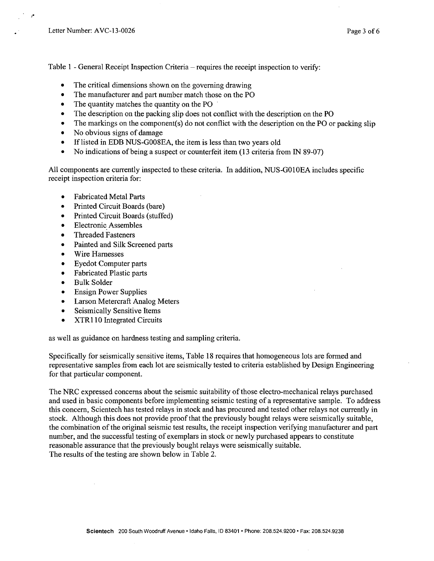Table 1 - General Receipt Inspection Criteria - requires the receipt inspection to verify:

- The critical dimensions shown on the governing drawing
- The manufacturer and part number match those on the PO
- The quantity matches the quantity on the PO
- **"** The description on the packing slip does not conflict with the description on the PO
- The markings on the component(s) do not conflict with the description on the PO or packing slip
- No obvious signs of damage
- If listed in EDB NUS-G008EA, the item is less than two years old
- No indications of being a suspect or counterfeit item (13 criteria from IN 89-07)

All components are currently inspected to these criteria. In addition, NUS-GO10EA includes specific receipt inspection criteria for:

- **"** Fabricated Metal Parts
- Printed Circuit Boards (bare)
- Printed Circuit Boards (stuffed)
- **Electronic Assembles**
- Threaded Fasteners
- \* Painted and Silk Screened parts
- Wire Harnesses
- **Eyedot Computer parts**
- Fabricated Plastic parts
- Bulk Solder
- **Ensign Power Supplies**
- Larson Metercraft Analog Meters
- Seismically Sensitive Items
- XTR110 Integrated Circuits

as well as guidance on hardness testing and sampling criteria.

Specifically for seismically sensitive items, Table 18 requires that homogeneous lots are formed and representative samples from each lot are seismically tested to criteria established by Design Engineering for that particular component.

The NRC expressed concerns about the seismic suitability of those electro-mechanical relays purchased and used in basic components before implementing seismic testing of a representative sample. To address this concern, Scientech has tested relays in stock and has procured and tested other relays not currently in stock. Although this does not provide proof that the previously bought relays were seismically suitable, the combination of the original seismic test results, the receipt inspection verifying manufacturer and part number, and the successful testing of exemplars in stock or newly purchased appears to constitute reasonable assurance that the previously bought relays were seismically suitable. The results of the testing are shown below in Table 2.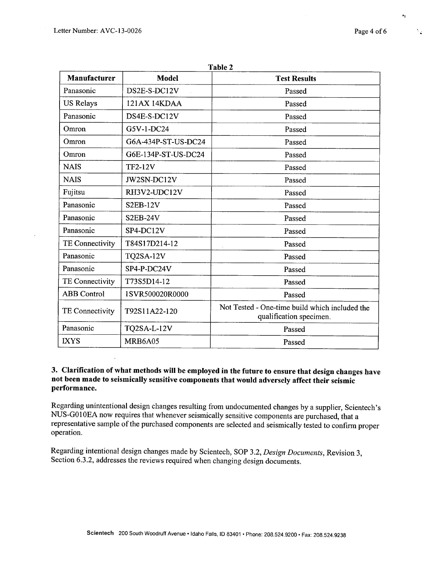**0.T**

N.

| 1 adie 2               |                     |                                                                           |  |
|------------------------|---------------------|---------------------------------------------------------------------------|--|
| <b>Manufacturer</b>    | <b>Model</b>        | <b>Test Results</b>                                                       |  |
| Panasonic              | DS2E-S-DC12V        | Passed                                                                    |  |
| <b>US Relays</b>       | 121AX 14KDAA        | Passed                                                                    |  |
| Panasonic              | DS4E-S-DC12V        | Passed                                                                    |  |
| Omron                  | G5V-1-DC24          | Passed                                                                    |  |
| Omron                  | G6A-434P-ST-US-DC24 | Passed                                                                    |  |
| Omron                  | G6E-134P-ST-US-DC24 | Passed                                                                    |  |
| <b>NAIS</b>            | <b>TF2-12V</b>      | Passed                                                                    |  |
| <b>NAIS</b>            | JW2SN-DC12V         | Passed                                                                    |  |
| Fujitsu                | RH3V2-UDC12V        | Passed                                                                    |  |
| Panasonic              | S2EB-12V            | Passed                                                                    |  |
| Panasonic              | <b>S2EB-24V</b>     | Passed                                                                    |  |
| Panasonic              | SP4-DC12V           | Passed                                                                    |  |
| <b>TE Connectivity</b> | T84S17D214-12       | Passed                                                                    |  |
| Panasonic              | <b>TQ2SA-12V</b>    | Passed                                                                    |  |
| Panasonic              | SP4-P-DC24V         | Passed                                                                    |  |
| TE Connectivity        | T73S5D14-12         | Passed                                                                    |  |
| <b>ABB</b> Control     | 1SVR500020R0000     | Passed                                                                    |  |
| TE Connectivity        | T92S11A22-120       | Not Tested - One-time build which included the<br>qualification specimen. |  |
| Panasonic              | TQ2SA-L-12V         | Passed                                                                    |  |
| <b>IXYS</b>            | MRB6A05             | Passed                                                                    |  |

### Table 2

## **3.** Clarification of what methods will be employed in the future to ensure that design changes have not been made to seismically sensitive components that would adversely affect their seismic performance.

Regarding unintentional design changes resulting from undocumented changes by a supplier, Scientech's NUS-G010EA now requires that whenever seismically sensitive components are purchased, that a representative sample of the purchased components are selected and seismically tested to confirm proper operation.

Regarding intentional design changes made by Scientech, SOP 3.2, *Design Documents,* Revision 3, Section 6.3.2, addresses the reviews required when changing design documents.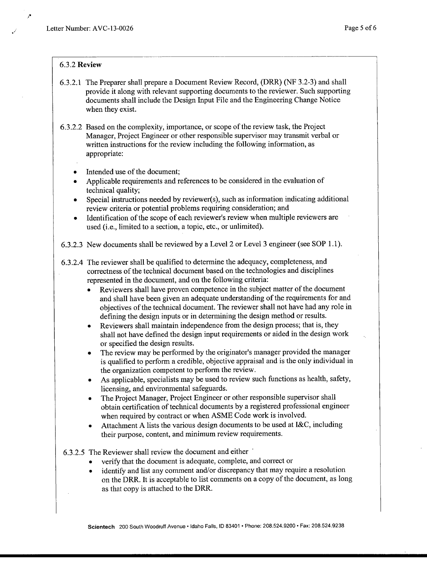#### 6.3.2 Review

- 6.3.2.1 The Preparer shall prepare a Document Review Record, (DRR) **(NF** 3.2-3) and shall provide it along with relevant supporting documents to the reviewer. Such supporting documents shall include the Design Input File and the Engineering Change Notice when they exist.
- 6.3.2.2 Based on the complexity, importance, or scope of the review task, the Project Manager, Project Engineer or other responsible supervisor may transmit verbal or written instructions for the review including the following information, as appropriate:
	- Intended use of the document;
	- Applicable requirements and references to be considered in the evaluation of technical quality;
	- Special instructions needed by reviewer(s), such as information indicating additional review criteria or potential problems requiring consideration; and
	- Identification of the scope of each reviewer's review when multiple reviewers are used (i.e., limited to a section, a topic, etc., or unlimited).

6.3.2.3 New documents shall be reviewed by a Level 2 or Level 3 engineer (see SOP 1.1).

6.3.2.4 The reviewer shall be qualified to determine the adequacy, completeness, and correctness of the technical document based on the technologies and disciplines represented in the document, and on the following criteria:

- Reviewers shall have proven competence in the subject matter of the document and shall have been given an adequate understanding of the requirements for and objectives of the technical document. The reviewer shall not have had any role in defining the design inputs or in determining the design method or results.
- Reviewers shall maintain independence from the design process; that is, they shall not have defined the design input requirements or aided in the design work or specified the design results.
- The review may be performed by the originator's manager provided the manager is qualified to perform a credible, objective appraisal and is the only individual in the organization competent to perfonn the review.
- As applicable, specialists may be used to review such functions as health, safety, licensing, and environmental safeguards.
- **"** The Project Manager, Project Engineer or other responsible supervisor shall obtain certification of technical documents by a registered professional engineer when required by contract or when ASME Code work is involved.
- Attachment A lists the various design documents to be used at I&C, including their purpose, content, and minimum review requirements.

6.3.2.5 The Reviewer shall review the document and either **'**

- verify that the document is adequate, complete, and correct or
- identify and list any comment and/or discrepancy that may require a resolution on the DRR. It is acceptable to list comments on a copy of the document, as long as that copy is attached to the DRR.